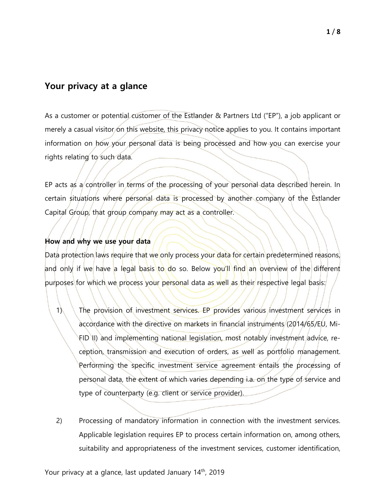# **Your privacy at a glance**

As a customer or potential customer of the Estlander & Partners Ltd ("EP"), a job applicant or merely a casual visitor on this website, this privacy notice applies to you. It contains important information on how your personal data is being processed and how you can exercise your rights relating to such data.

EP acts as a controller in terms of the processing of your personal data described herein. In certain situations where personal data is processed by another company of the Estlander Capital Group, that group company may act as a controller.

## **How and why we use your data**

Data protection laws require that we only process your data for certain predetermined reasons, and only if we have a legal basis to do so. Below you'll find an overview of the different purposes for which we process your personal data as well as their respective legal basis:

- 1) The provision of investment services. EP provides various investment services in accordance with the directive on markets in financial instruments (2014/65/EU, Mi-FID II) and implementing national legislation, most notably investment advice, reception, transmission and execution of orders, as well as portfolio management. Performing the specific investment service agreement entails the processing of personal data, the extent of which varies depending i.a. on the type of service and type of counterparty (e.g. client or service provider).
- 2) Processing of mandatory information in connection with the investment services. Applicable legislation requires EP to process certain information on, among others, suitability and appropriateness of the investment services, customer identification,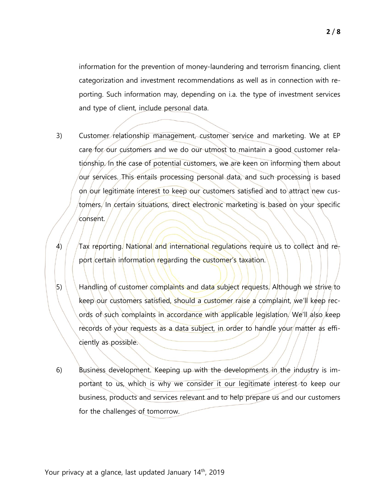information for the prevention of money-laundering and terrorism financing, client categorization and investment recommendations as well as in connection with reporting. Such information may, depending on i.a. the type of investment services and type of client, include personal data.

- 3) Customer relationship management, customer service and marketing. We at EP care for our customers and we do our utmost to maintain a good customer relationship. In the case of potential customers, we are keen on informing them about our services. This entails processing personal data, and such processing is based on our legitimate interest to keep our customers satisfied and to attract new customers. In certain situations, direct electronic marketing is based on your specific consent.
- 4) Tax reporting. National and international requisitions require us to collect and report certain information regarding the customer's taxation.
- $|5\rangle$  Handling of customer complaints and data subject requests. Although we strive to keep our customers satisfied, should a customer raise a complaint, we'll keep records of such complaints in accordance with applicable legislation. We'll also keep records of your requests as a data subject, in order to handle your matter as efficiently as possible.
- 6) Business development. Keeping up with the developments in the industry is important to us, which is why we consider it our legitimate interest to keep our business, products and services relevant and to help prepare us and our customers for the challenges of tomorrow.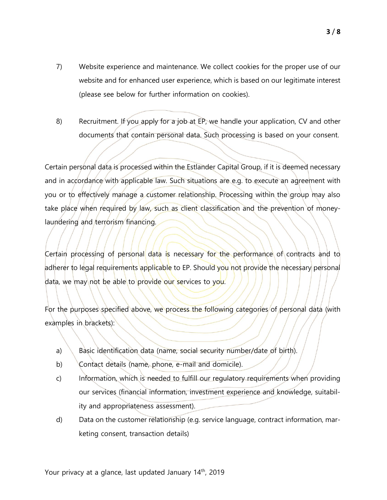- 7) Website experience and maintenance. We collect cookies for the proper use of our website and for enhanced user experience, which is based on our legitimate interest (please see below for further information on cookies).
- 8) Recruitment. If you apply for a job at EP, we handle your application, CV and other documents that contain personal data. Such processing is based on your consent.

Certain personal data is processed within the Estlander Capital Group, if it is deemed necessary and in accordance with applicable law. Such situations are e.g. to execute an agreement with you or to effectively manage a customer relationship. Processing within the group may also take place when required by law, such as client classification and the prevention of moneylaundering and terrorism financing.

Certain processing of personal data is necessary for the performance of contracts and to adherer to legal requirements applicable to EP. Should you not provide the necessary personal data, we may not be able to provide our services to you.

For the purposes specified above, we process the following categories/of personal data (with examples in brackets):

- a) Basic identification data (name, social security number/date of birth).
- b) Contact details (name, phone, e-mail and domicile).
- c) Information, which is needed to fulfill our regulatory requirements when providing our services (financial information, investment experience and knowledge, suitability and appropriateness assessment).
- d) Data on the customer relationship (e.g. service language, contract information, marketing consent, transaction details)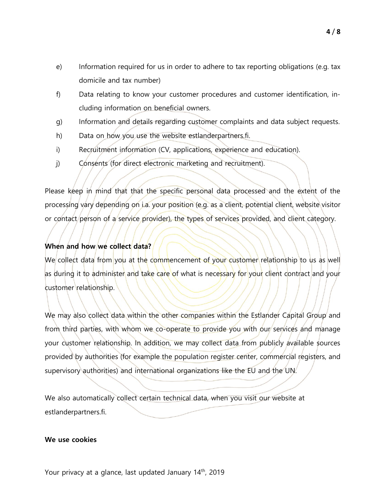- e) Information required for us in order to adhere to tax reporting obligations (e.g. tax domicile and tax number)
- f) Data relating to know your customer procedures and customer identification, including information on beneficial owners.
- g) Information and details regarding customer complaints and data subject requests.
- h) Data on how you use the website estlanderpartners.fi.
- i) Recruitment information (CV, applications, experience and education).
- j) Consents (for direct electronic marketing and recruitment).

Please keep in mind that that the specific personal data processed and the extent of the processing vary depending on i.a. your position (e.g. as a client, potential client, website visitor or contact person of a service provider), the types of services provided, and client category.

## **When and how we collect data?**

We collect data from you at the commencement of your customer relationship to us as well as during it to administer and take care of what is necessary for your client contract and your customer relationship.

We may also collect data within the other companies within the Estlander Capital Group and from third parties, with whom we co-operate to provide you with our services and manage your customer relationship. In addition, we may collect data from publicly available sources provided by authorities (for example the population register center, commercial registers, and supervisory authorities) and international organizations like the EU and the UN.

We also automatically collect certain technical data, when you visit our website at estlanderpartners.fi.

### **We use cookies**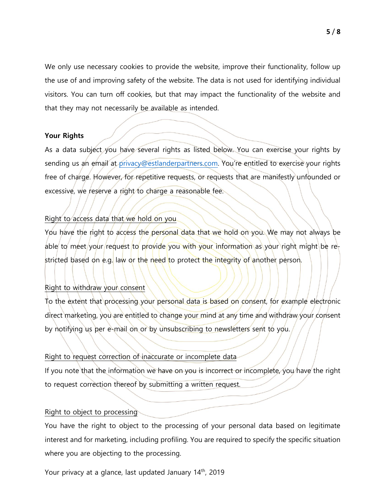We only use necessary cookies to provide the website, improve their functionality, follow up the use of and improving safety of the website. The data is not used for identifying individual visitors. You can turn off cookies, but that may impact the functionality of the website and that they may not necessarily be available as intended.

### **Your Rights**

As a data subject you have several rights as listed below. You can exercise your rights by sending us an email at [privacy@estlanderpartners.com](mailto:privacy@estlanderpartners.com). You're entitled to exercise your rights free of charge. However, for repetitive requests, or requests that are manifestly unfounded or excessive, we reserve a right to charge a reasonable fee.

## Right to access data that we hold on you

You have the right to access the personal data that we hold on you. We may not always be able to meet/your/request to provide you with your information as your right might be restricted based on e.g. law or the need to protect the integrity of another person.

### Right to withdraw your consent

To the extent that processing your personal data is based on consent, for example electronic direct marketing, you are entitled to change your mind at any time and withdraw your consent by notifying us per e-mail on or by unsubscribing to newsletters sent to you.

### Right to request correction of inaccurate or incomplete data

If you note that the information we have on you is incorrect or incomplete, you have the right to request correction thereof by submitting a written request.

#### Right to object to processing

You have the right to object to the processing of your personal data based on legitimate interest and for marketing, including profiling. You are required to specify the specific situation where you are objecting to the processing.

Your privacy at a glance, last updated January 14<sup>th</sup>, 2019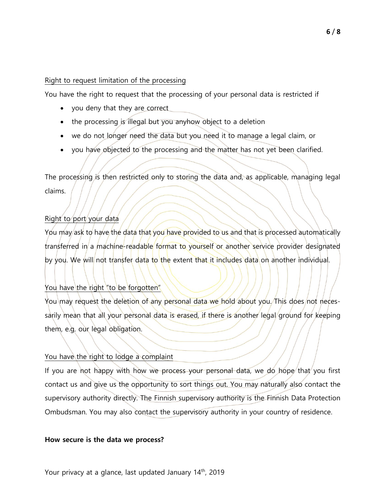## Right to request limitation of the processing

You have the right to request that the processing of your personal data is restricted if

- you deny that they are correct
- the processing is illegal but you anyhow object to a deletion
- we do not longer need the data but you need it to manage a legal claim, or
- you have objected to the processing and the matter has not yet been clarified.

The processing is then restricted only to storing the data and, as applicable, managing legal claims.

## Right to port your data

You may ask to have the data that you have provided to us and that is processed automatically transferred in a machine-readable format to yourself or another service provider designated by you. We will not transfer data to the extent that it includes data on another individual.

## You have the right "to be forgotten"

You may request the deletion of any personal data we hold about you. This does not necessarily mean that all your personal data is erased, if there is another legal ground for keeping them, e.g. our legal obligation.

## You have the right to lodge a complaint

If you are not happy with how we process your personal data, we do hope that you first contact us and give us the opportunity to sort things out. You may naturally also contact the supervisory authority directly. The Finnish supervisory authority is the Finnish Data Protection Ombudsman. You may also contact the supervisory authority in your country of residence.

### **How secure is the data we process?**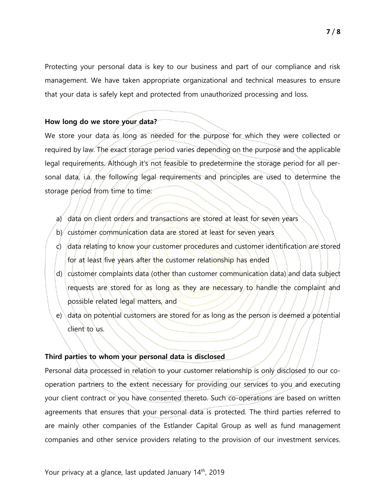Protecting your personal data is key to our business and part of our compliance and risk management. We have taken appropriate organizational and technical measures to ensure that your data is safely kept and protected from unauthorized processing and loss.

### **How long do we store your data?**

We store your data as long as needed for the purpose for which they were collected or required by law. The exact storage period varies depending on the purpose and the applicable legal requirements. Although it's not feasible to predetermine the storage period for all personal data, i.a. the following legal requirements and principles are used to determine the storage period from time to time:

- a) data on client orders and transactions are stored at least for seven years
- b) customer communication data are stored at least for seven years
- c) data relating to know your customer procedures and customer identification are stored for at least five years after the customer relationship has ended
- d) customer complaints data (other than customer communication data) and data subject requests are stored for as long as they are necessary to handle the complaint and possible related legal matters, and
- e) data on potential customers are stored for as long as the person is deemed a potential client to us.

### **Third parties to whom your personal data is disclosed**

Personal data processed in relation to your customer relationship is only disclosed to our cooperation partners to the extent necessary for providing our services to you and executing your client contract or you have consented thereto. Such co-operations are based on written agreements that ensures that your personal data is protected. The third parties referred to are mainly other companies of the Estlander Capital Group as well as fund management companies and other service providers relating to the provision of our investment services.